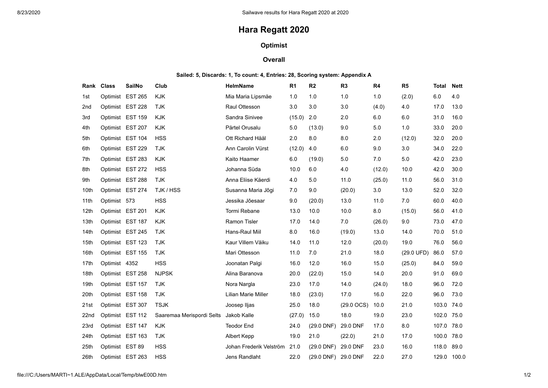# **Hara Regatt 2020**

## **Optimist**

## **Overall**

### **Sailed: 5, Discards: 1, To count: 4, Entries: 28, Scoring system: Appendix A**

|                  | Rank Class      | <b>SailNo</b>    | Club                      | <b>HelmName</b>         | R <sub>1</sub> | R <sub>2</sub>         | R <sub>3</sub>         | R <sub>4</sub> | R <sub>5</sub> | Total | <b>Nett</b> |
|------------------|-----------------|------------------|---------------------------|-------------------------|----------------|------------------------|------------------------|----------------|----------------|-------|-------------|
| 1st              |                 | Optimist EST 265 | <b>KJK</b>                | Mia Maria Lipsmäe       | 1.0            | 1.0                    | 1.0                    | 1.0            | (2.0)          | 6.0   | 4.0         |
| 2nd              |                 | Optimist EST 228 | <b>TJK</b>                | Raul Ottesson           | 3.0            | 3.0                    | 3.0                    | (4.0)          | 4.0            | 17.0  | 13.0        |
| 3rd              |                 | Optimist EST 159 | <b>KJK</b>                | Sandra Sinivee          | (15.0)         | 2.0                    | 2.0                    | 6.0            | 6.0            | 31.0  | 16.0        |
| 4th              |                 | Optimist EST 207 | <b>KJK</b>                | Pärtel Orusalu          | 5.0            | (13.0)                 | 9.0                    | 5.0            | 1.0            | 33.0  | 20.0        |
| 5th              |                 | Optimist EST 104 | <b>HSS</b>                | Ott Richard Hääl        | 2.0            | 8.0                    | 8.0                    | 2.0            | (12.0)         | 32.0  | 20.0        |
| 6th              |                 | Optimist EST 229 | <b>TJK</b>                | Ann Carolin Vürst       | (12.0)         | 4.0                    | 6.0                    | 9.0            | 3.0            | 34.0  | 22.0        |
| 7th              |                 | Optimist EST 283 | <b>KJK</b>                | Kaito Haamer            | 6.0            | (19.0)                 | 5.0                    | 7.0            | 5.0            | 42.0  | 23.0        |
| 8th              |                 | Optimist EST 272 | <b>HSS</b>                | Johanna Süda            | 10.0           | 6.0                    | 4.0                    | (12.0)         | 10.0           | 42.0  | 30.0        |
| 9th              |                 | Optimist EST 288 | <b>TJK</b>                | Anna Eliise Käerdi      | 4.0            | 5.0                    | 11.0                   | (25.0)         | 11.0           | 56.0  | 31.0        |
| 10th             |                 | Optimist EST 274 | TJK / HSS                 | Susanna Maria Jõgi      | 7.0            | 9.0                    | (20.0)                 | 3.0            | 13.0           | 52.0  | 32.0        |
| 11th             | Optimist 573    |                  | <b>HSS</b>                | Jessika Jõesaar         | 9.0            | (20.0)                 | 13.0                   | 11.0           | 7.0            | 60.0  | 40.0        |
| 12 <sub>th</sub> |                 | Optimist EST 201 | <b>KJK</b>                | Tormi Rebane            | 13.0           | 10.0                   | 10.0                   | 8.0            | (15.0)         | 56.0  | 41.0        |
| 13th             |                 | Optimist EST 187 | <b>KJK</b>                | Ramon Tisler            | 17.0           | 14.0                   | 7.0                    | (26.0)         | 9.0            | 73.0  | 47.0        |
| 14 <sub>th</sub> |                 | Optimist EST 245 | <b>TJK</b>                | Hans-Raul Miil          | 8.0            | 16.0                   | (19.0)                 | 13.0           | 14.0           | 70.0  | 51.0        |
| 15th             |                 | Optimist EST 123 | <b>TJK</b>                | Kaur Villem Väiku       | 14.0           | 11.0                   | 12.0                   | (20.0)         | 19.0           | 76.0  | 56.0        |
| 16th             |                 | Optimist EST 155 | <b>TJK</b>                | Mari Ottesson           | 11.0           | 7.0                    | 21.0                   | 18.0           | (29.0 UFD)     | 86.0  | 57.0        |
| 17th             | Optimist 4352   |                  | <b>HSS</b>                | Joonatan Palgi          | 16.0           | 12.0                   | 16.0                   | 15.0           | (25.0)         | 84.0  | 59.0        |
| 18th             |                 | Optimist EST 258 | <b>NJPSK</b>              | Alina Baranova          | 20.0           | (22.0)                 | 15.0                   | 14.0           | 20.0           | 91.0  | 69.0        |
| 19th             |                 | Optimist EST 157 | <b>TJK</b>                | Nora Nargla             | 23.0           | 17.0                   | 14.0                   | (24.0)         | 18.0           | 96.0  | 72.0        |
| 20th             |                 | Optimist EST 158 | <b>TJK</b>                | Lilian Marie Miller     | 18.0           | (23.0)                 | 17.0                   | 16.0           | 22.0           | 96.0  | 73.0        |
| 21st             |                 | Optimist EST 307 | <b>TSJK</b>               | Joosep Iljas            | 25.0           | 18.0                   | $(29.0 \, \text{OCS})$ | 10.0           | 21.0           | 103.0 | 74.0        |
| 22 <sub>nd</sub> |                 | Optimist EST 112 | Saaremaa Merispordi Selts | Jakob Kalle             | (27.0)         | 15.0                   | 18.0                   | 19.0           | 23.0           | 102.0 | 75.0        |
| 23rd             |                 | Optimist EST 147 | <b>KJK</b>                | <b>Teodor End</b>       | 24.0           | (29.0 DNF)             | 29.0 DNF               | 17.0           | 8.0            | 107.0 | 78.0        |
| 24th             |                 | Optimist EST 163 | <b>TJK</b>                | Albert Kepp             | 19.0           | 21.0                   | (22.0)                 | 21.0           | 17.0           | 100.0 | 78.0        |
| 25th             | Optimist EST 89 |                  | <b>HSS</b>                | Johan Frederik Velström | 21.0           | $(29.0$ DNF)           | 29.0 DNF               | 23.0           | 16.0           | 118.0 | 89.0        |
| 26th             |                 | Optimist EST 263 | <b>HSS</b>                | Jens Randlaht           | 22.0           | $(29.0 \, \text{DNF})$ | 29.0 DNF               | 22.0           | 27.0           | 129.0 | 100.0       |